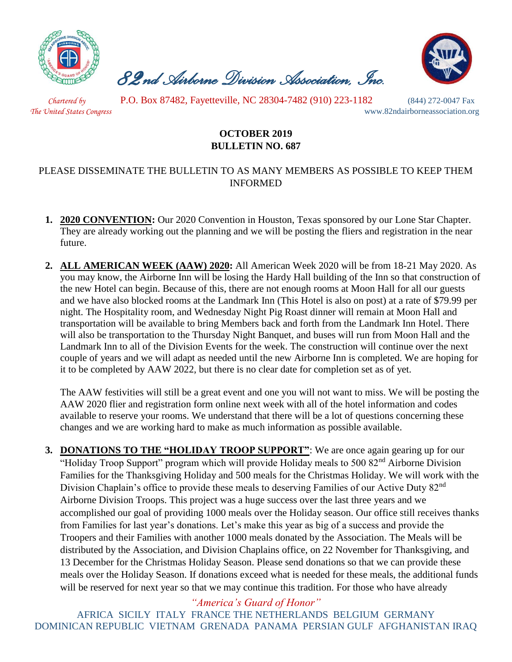

 *82nd Airborne Division Association, Inc.* 



 *Chartered by* P.O. Box 87482, Fayetteville, NC 28304-7482 (910) 223-1182 (844) 272-0047 Fax

*The United States Congress* www.82ndairborneassociation.org

## **OCTOBER 2019 BULLETIN NO. 687**

## PLEASE DISSEMINATE THE BULLETIN TO AS MANY MEMBERS AS POSSIBLE TO KEEP THEM INFORMED

- **1. 2020 CONVENTION:** Our 2020 Convention in Houston, Texas sponsored by our Lone Star Chapter. They are already working out the planning and we will be posting the fliers and registration in the near future.
- **2. ALL AMERICAN WEEK (AAW) 2020:** All American Week 2020 will be from 18-21 May 2020. As you may know, the Airborne Inn will be losing the Hardy Hall building of the Inn so that construction of the new Hotel can begin. Because of this, there are not enough rooms at Moon Hall for all our guests and we have also blocked rooms at the Landmark Inn (This Hotel is also on post) at a rate of \$79.99 per night. The Hospitality room, and Wednesday Night Pig Roast dinner will remain at Moon Hall and transportation will be available to bring Members back and forth from the Landmark Inn Hotel. There will also be transportation to the Thursday Night Banquet, and buses will run from Moon Hall and the Landmark Inn to all of the Division Events for the week. The construction will continue over the next couple of years and we will adapt as needed until the new Airborne Inn is completed. We are hoping for it to be completed by AAW 2022, but there is no clear date for completion set as of yet.

The AAW festivities will still be a great event and one you will not want to miss. We will be posting the AAW 2020 flier and registration form online next week with all of the hotel information and codes available to reserve your rooms. We understand that there will be a lot of questions concerning these changes and we are working hard to make as much information as possible available.

**3. DONATIONS TO THE "HOLIDAY TROOP SUPPORT"**: We are once again gearing up for our "Holiday Troop Support" program which will provide Holiday meals to 500 82<sup>nd</sup> Airborne Division Families for the Thanksgiving Holiday and 500 meals for the Christmas Holiday. We will work with the Division Chaplain's office to provide these meals to deserving Families of our Active Duty 82<sup>nd</sup> Airborne Division Troops. This project was a huge success over the last three years and we accomplished our goal of providing 1000 meals over the Holiday season. Our office still receives thanks from Families for last year's donations. Let's make this year as big of a success and provide the Troopers and their Families with another 1000 meals donated by the Association. The Meals will be distributed by the Association, and Division Chaplains office, on 22 November for Thanksgiving, and 13 December for the Christmas Holiday Season. Please send donations so that we can provide these meals over the Holiday Season. If donations exceed what is needed for these meals, the additional funds will be reserved for next year so that we may continue this tradition. For those who have already

*"America's Guard of Honor"*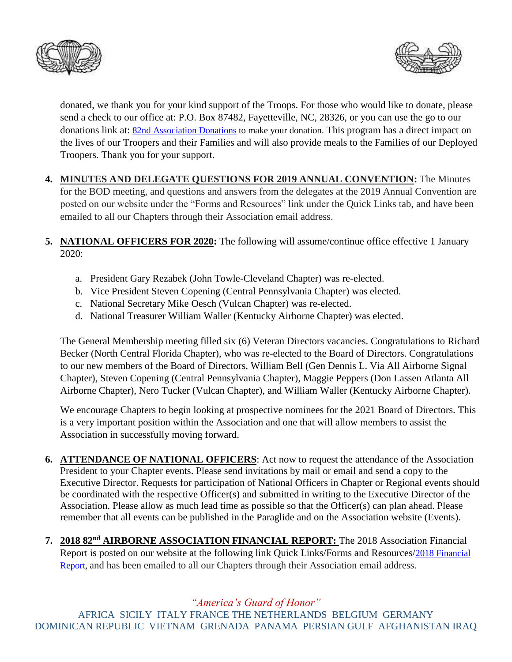



donated, we thank you for your kind support of the Troops. For those who would like to donate, please send a check to our office at: P.O. Box 87482, Fayetteville, NC, 28326, or you can use the go to our donations link at: [82nd Association Donations](http://www.82ndairborneassociation.org/donate.html) to make your donation. This program has a direct impact on the lives of our Troopers and their Families and will also provide meals to the Families of our Deployed Troopers. Thank you for your support.

- **4. MINUTES AND DELEGATE QUESTIONS FOR 2019 ANNUAL CONVENTION:** The Minutes for the BOD meeting, and questions and answers from the delegates at the 2019 Annual Convention are posted on our website under the "Forms and Resources" link under the Quick Links tab, and have been emailed to all our Chapters through their Association email address.
- **5. NATIONAL OFFICERS FOR 2020:** The following will assume/continue office effective 1 January 2020:
	- a. President Gary Rezabek (John Towle-Cleveland Chapter) was re-elected.
	- b. Vice President Steven Copening (Central Pennsylvania Chapter) was elected.
	- c. National Secretary Mike Oesch (Vulcan Chapter) was re-elected.
	- d. National Treasurer William Waller (Kentucky Airborne Chapter) was elected.

The General Membership meeting filled six (6) Veteran Directors vacancies. Congratulations to Richard Becker (North Central Florida Chapter), who was re-elected to the Board of Directors. Congratulations to our new members of the Board of Directors, William Bell (Gen Dennis L. Via All Airborne Signal Chapter), Steven Copening (Central Pennsylvania Chapter), Maggie Peppers (Don Lassen Atlanta All Airborne Chapter), Nero Tucker (Vulcan Chapter), and William Waller (Kentucky Airborne Chapter).

We encourage Chapters to begin looking at prospective nominees for the 2021 Board of Directors. This is a very important position within the Association and one that will allow members to assist the Association in successfully moving forward.

- **6. ATTENDANCE OF NATIONAL OFFICERS**: Act now to request the attendance of the Association President to your Chapter events. Please send invitations by mail or email and send a copy to the Executive Director. Requests for participation of National Officers in Chapter or Regional events should be coordinated with the respective Officer(s) and submitted in writing to the Executive Director of the Association. Please allow as much lead time as possible so that the Officer(s) can plan ahead. Please remember that all events can be published in the Paraglide and on the Association website (Events).
- **7. 2018 82nd AIRBORNE ASSOCIATION FINANCIAL REPORT:** The 2018 Association Financial Report is posted on our website at the following link Quick Links/Forms and Resources/[2018 Financial](http://www.82ndairborneassociation.org/assets/2018-annual-audit-for-publishing.pdf)  [Report,](http://www.82ndairborneassociation.org/assets/2018-annual-audit-for-publishing.pdf) and has been emailed to all our Chapters through their Association email address.

*"America's Guard of Honor"*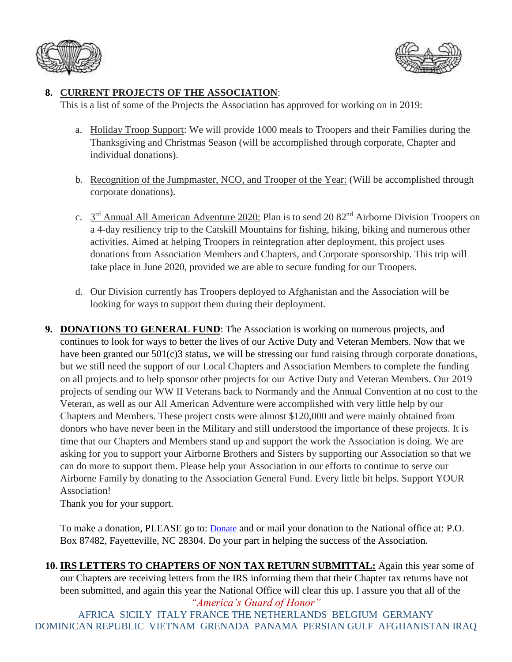



## **8. CURRENT PROJECTS OF THE ASSOCIATION**:

This is a list of some of the Projects the Association has approved for working on in 2019:

- a. Holiday Troop Support: We will provide 1000 meals to Troopers and their Families during the Thanksgiving and Christmas Season (will be accomplished through corporate, Chapter and individual donations).
- b. Recognition of the Jumpmaster, NCO, and Trooper of the Year: (Will be accomplished through corporate donations).
- c. 3<sup>rd</sup> Annual All American Adventure 2020: Plan is to send 20 82<sup>nd</sup> Airborne Division Troopers on a 4-day resiliency trip to the Catskill Mountains for fishing, hiking, biking and numerous other activities. Aimed at helping Troopers in reintegration after deployment, this project uses donations from Association Members and Chapters, and Corporate sponsorship. This trip will take place in June 2020, provided we are able to secure funding for our Troopers.
- d. Our Division currently has Troopers deployed to Afghanistan and the Association will be looking for ways to support them during their deployment.
- **9. DONATIONS TO GENERAL FUND**: The Association is working on numerous projects, and continues to look for ways to better the lives of our Active Duty and Veteran Members. Now that we have been granted our 501(c)3 status, we will be stressing our fund raising through corporate donations, but we still need the support of our Local Chapters and Association Members to complete the funding on all projects and to help sponsor other projects for our Active Duty and Veteran Members. Our 2019 projects of sending our WW II Veterans back to Normandy and the Annual Convention at no cost to the Veteran, as well as our All American Adventure were accomplished with very little help by our Chapters and Members. These project costs were almost \$120,000 and were mainly obtained from donors who have never been in the Military and still understood the importance of these projects. It is time that our Chapters and Members stand up and support the work the Association is doing. We are asking for you to support your Airborne Brothers and Sisters by supporting our Association so that we can do more to support them. Please help your Association in our efforts to continue to serve our Airborne Family by donating to the Association General Fund. Every little bit helps. Support YOUR Association!

Thank you for your support.

To make a donation, PLEASE go to: **[Donate](http://www.82ndairborneassociation.org/donate.html)** and or mail your donation to the National office at: P.O. Box 87482, Fayetteville, NC 28304. Do your part in helping the success of the Association.

*"America's Guard of Honor"* **10. IRS LETTERS TO CHAPTERS OF NON TAX RETURN SUBMITTAL:** Again this year some of our Chapters are receiving letters from the IRS informing them that their Chapter tax returns have not been submitted, and again this year the National Office will clear this up. I assure you that all of the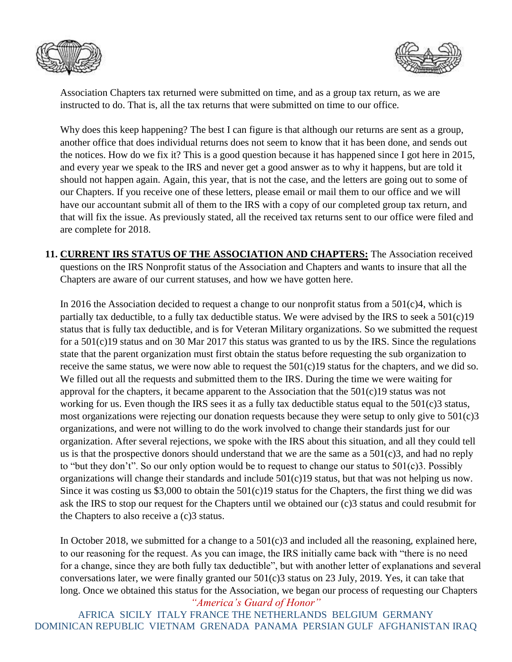



Association Chapters tax returned were submitted on time, and as a group tax return, as we are instructed to do. That is, all the tax returns that were submitted on time to our office.

Why does this keep happening? The best I can figure is that although our returns are sent as a group, another office that does individual returns does not seem to know that it has been done, and sends out the notices. How do we fix it? This is a good question because it has happened since I got here in 2015, and every year we speak to the IRS and never get a good answer as to why it happens, but are told it should not happen again. Again, this year, that is not the case, and the letters are going out to some of our Chapters. If you receive one of these letters, please email or mail them to our office and we will have our accountant submit all of them to the IRS with a copy of our completed group tax return, and that will fix the issue. As previously stated, all the received tax returns sent to our office were filed and are complete for 2018.

**11. CURRENT IRS STATUS OF THE ASSOCIATION AND CHAPTERS:** The Association received questions on the IRS Nonprofit status of the Association and Chapters and wants to insure that all the Chapters are aware of our current statuses, and how we have gotten here.

In 2016 the Association decided to request a change to our nonprofit status from a  $501(c)4$ , which is partially tax deductible, to a fully tax deductible status. We were advised by the IRS to seek a 501(c)19 status that is fully tax deductible, and is for Veteran Military organizations. So we submitted the request for a 501(c)19 status and on 30 Mar 2017 this status was granted to us by the IRS. Since the regulations state that the parent organization must first obtain the status before requesting the sub organization to receive the same status, we were now able to request the 501(c)19 status for the chapters, and we did so. We filled out all the requests and submitted them to the IRS. During the time we were waiting for approval for the chapters, it became apparent to the Association that the 501(c)19 status was not working for us. Even though the IRS sees it as a fully tax deductible status equal to the 501(c)3 status, most organizations were rejecting our donation requests because they were setup to only give to 501(c)3 organizations, and were not willing to do the work involved to change their standards just for our organization. After several rejections, we spoke with the IRS about this situation, and all they could tell us is that the prospective donors should understand that we are the same as a  $501(c)3$ , and had no reply to "but they don't". So our only option would be to request to change our status to 501(c)3. Possibly organizations will change their standards and include  $501(c)19$  status, but that was not helping us now. Since it was costing us \$3,000 to obtain the  $501(c)19$  status for the Chapters, the first thing we did was ask the IRS to stop our request for the Chapters until we obtained our (c)3 status and could resubmit for the Chapters to also receive a (c)3 status.

*"America's Guard of Honor"* In October 2018, we submitted for a change to a  $501(c)3$  and included all the reasoning, explained here, to our reasoning for the request. As you can image, the IRS initially came back with "there is no need for a change, since they are both fully tax deductible", but with another letter of explanations and several conversations later, we were finally granted our 501(c)3 status on 23 July, 2019. Yes, it can take that long. Once we obtained this status for the Association, we began our process of requesting our Chapters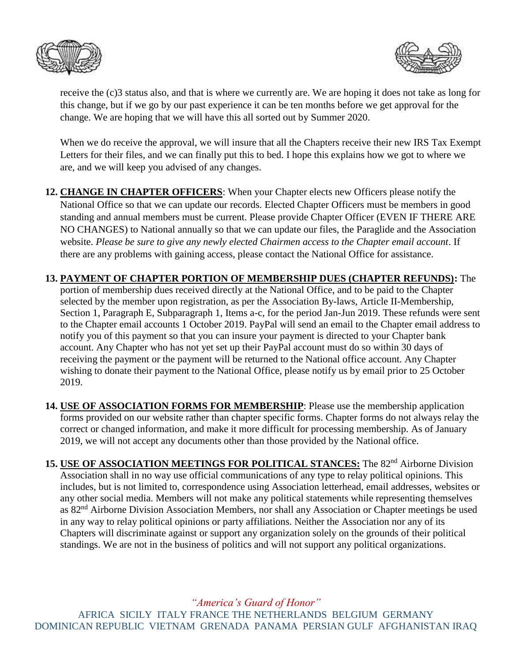



receive the (c)3 status also, and that is where we currently are. We are hoping it does not take as long for this change, but if we go by our past experience it can be ten months before we get approval for the change. We are hoping that we will have this all sorted out by Summer 2020.

When we do receive the approval, we will insure that all the Chapters receive their new IRS Tax Exempt Letters for their files, and we can finally put this to bed. I hope this explains how we got to where we are, and we will keep you advised of any changes.

**12. CHANGE IN CHAPTER OFFICERS**: When your Chapter elects new Officers please notify the National Office so that we can update our records. Elected Chapter Officers must be members in good standing and annual members must be current. Please provide Chapter Officer (EVEN IF THERE ARE NO CHANGES) to National annually so that we can update our files, the Paraglide and the Association website. *Please be sure to give any newly elected Chairmen access to the Chapter email account*. If there are any problems with gaining access, please contact the National Office for assistance.

## **13. PAYMENT OF CHAPTER PORTION OF MEMBERSHIP DUES (CHAPTER REFUNDS):** The portion of membership dues received directly at the National Office, and to be paid to the Chapter selected by the member upon registration, as per the Association By-laws, Article II-Membership, Section 1, Paragraph E, Subparagraph 1, Items a-c, for the period Jan-Jun 2019. These refunds were sent to the Chapter email accounts 1 October 2019. PayPal will send an email to the Chapter email address to notify you of this payment so that you can insure your payment is directed to your Chapter bank account. Any Chapter who has not yet set up their PayPal account must do so within 30 days of receiving the payment or the payment will be returned to the National office account. Any Chapter wishing to donate their payment to the National Office, please notify us by email prior to 25 October 2019.

- **14. USE OF ASSOCIATION FORMS FOR MEMBERSHIP**: Please use the membership application forms provided on our website rather than chapter specific forms. Chapter forms do not always relay the correct or changed information, and make it more difficult for processing membership. As of January 2019, we will not accept any documents other than those provided by the National office.
- 15. <u>USE OF ASSOCIATION MEETINGS FOR POLITICAL STANCES:</u> The 82<sup>nd</sup> Airborne Division Association shall in no way use official communications of any type to relay political opinions. This includes, but is not limited to, correspondence using Association letterhead, email addresses, websites or any other social media. Members will not make any political statements while representing themselves as 82nd Airborne Division Association Members, nor shall any Association or Chapter meetings be used in any way to relay political opinions or party affiliations. Neither the Association nor any of its Chapters will discriminate against or support any organization solely on the grounds of their political standings. We are not in the business of politics and will not support any political organizations.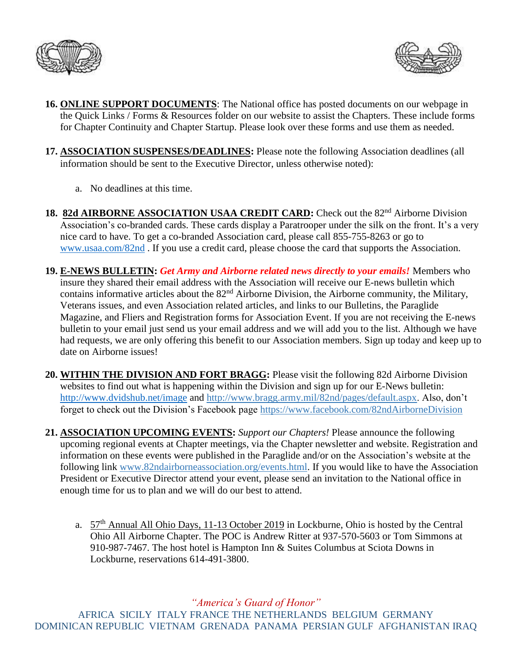



- **16. ONLINE SUPPORT DOCUMENTS**: The National office has posted documents on our webpage in the Quick Links / Forms & Resources folder on our website to assist the Chapters. These include forms for Chapter Continuity and Chapter Startup. Please look over these forms and use them as needed.
- **17. ASSOCIATION SUSPENSES/DEADLINES:** Please note the following Association deadlines (all information should be sent to the Executive Director, unless otherwise noted):
	- a. No deadlines at this time.
- 18. 82d AIRBORNE ASSOCIATION USAA CREDIT CARD: Check out the 82<sup>nd</sup> Airborne Division Association's co-branded cards. These cards display a Paratrooper under the silk on the front. It's a very nice card to have. To get a co-branded Association card, please call 855-755-8263 or go to [www.usaa.com/82nd](http://www.usaa.com/82nd) . If you use a credit card, please choose the card that supports the Association.
- **19. E-NEWS BULLETIN:** *Get Army and Airborne related news directly to your emails!* Members who insure they shared their email address with the Association will receive our E-news bulletin which contains informative articles about the 82<sup>nd</sup> Airborne Division, the Airborne community, the Military, Veterans issues, and even Association related articles, and links to our Bulletins, the Paraglide Magazine, and Fliers and Registration forms for Association Event. If you are not receiving the E-news bulletin to your email just send us your email address and we will add you to the list. Although we have had requests, we are only offering this benefit to our Association members. Sign up today and keep up to date on Airborne issues!
- **20. WITHIN THE DIVISION AND FORT BRAGG:** Please visit the following 82d Airborne Division websites to find out what is happening within the Division and sign up for our E-News bulletin: <http://www.dvidshub.net/image> and [http://www.bragg.army.mil/82nd/pages/default.aspx.](http://www.bragg.army.mil/82ND/Pages/default.aspx) Also, don't forget to check out the Division's Facebook page<https://www.facebook.com/82ndAirborneDivision>
- **21. ASSOCIATION UPCOMING EVENTS:** *Support our Chapters!* Please announce the following upcoming regional events at Chapter meetings, via the Chapter newsletter and website. Registration and information on these events were published in the Paraglide and/or on the Association's website at the following link [www.82ndairborneassociation.org/events.html.](http://www.82ndairborneassociation.org/events.html) If you would like to have the Association President or Executive Director attend your event, please send an invitation to the National office in enough time for us to plan and we will do our best to attend.
	- a. 57th Annual All Ohio Days, 11-13 October 2019 in Lockburne, Ohio is hosted by the Central Ohio All Airborne Chapter. The POC is Andrew Ritter at 937-570-5603 or Tom Simmons at 910-987-7467. The host hotel is Hampton Inn & Suites Columbus at Sciota Downs in Lockburne, reservations 614-491-3800.

*"America's Guard of Honor"*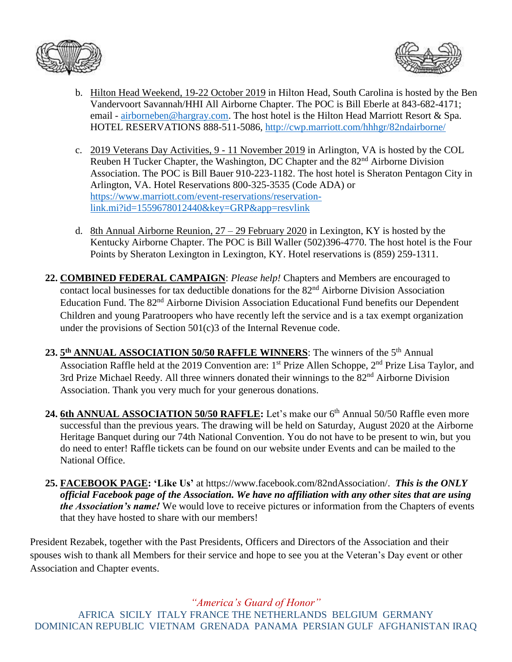



- b. Hilton Head Weekend, 19-22 October 2019 in Hilton Head, South Carolina is hosted by the Ben Vandervoort Savannah/HHI All Airborne Chapter. The POC is Bill Eberle at 843-682-4171; email - [airborneben@hargray.com.](mailto:airborneben@hargray.com) The host hotel is the Hilton Head Marriott Resort & Spa. HOTEL RESERVATIONS 888-511-5086,<http://cwp.marriott.com/hhhgr/82ndairborne/>
- c. 2019 Veterans Day Activities, 9 11 November 2019 in Arlington, VA is hosted by the COL Reuben H Tucker Chapter, the Washington, DC Chapter and the 82<sup>nd</sup> Airborne Division Association. The POC is Bill Bauer 910-223-1182. The host hotel is Sheraton Pentagon City in Arlington, VA. Hotel Reservations 800-325-3535 (Code ADA) or [https://www.marriott.com/event-reservations/reservation](https://www.marriott.com/event-reservations/reservation-link.mi?id=1559678012440&key=GRP&app=resvlink)[link.mi?id=1559678012440&key=GRP&app=resvlink](https://www.marriott.com/event-reservations/reservation-link.mi?id=1559678012440&key=GRP&app=resvlink)
- d. 8th Annual Airborne Reunion, 27 29 February 2020 in Lexington, KY is hosted by the Kentucky Airborne Chapter. The POC is Bill Waller (502)396-4770. The host hotel is the Four Points by Sheraton Lexington in Lexington, KY. Hotel reservations is (859) 259-1311.
- **22. COMBINED FEDERAL CAMPAIGN**: *Please help!* Chapters and Members are encouraged to contact local businesses for tax deductible donations for the 82<sup>nd</sup> Airborne Division Association Education Fund. The 82nd Airborne Division Association Educational Fund benefits our Dependent Children and young Paratroopers who have recently left the service and is a tax exempt organization under the provisions of Section 501(c)3 of the Internal Revenue code.
- 23. 5<sup>th</sup> **ANNUAL ASSOCIATION 50/50 RAFFLE WINNERS**: The winners of the 5<sup>th</sup> Annual Association Raffle held at the 2019 Convention are: 1<sup>st</sup> Prize Allen Schoppe, 2<sup>nd</sup> Prize Lisa Taylor, and 3rd Prize Michael Reedy. All three winners donated their winnings to the 82<sup>nd</sup> Airborne Division Association. Thank you very much for your generous donations.
- 24. 6th ANNUAL ASSOCIATION 50/50 RAFFLE: Let's make our 6<sup>th</sup> Annual 50/50 Raffle even more successful than the previous years. The drawing will be held on Saturday, August 2020 at the Airborne Heritage Banquet during our 74th National Convention. You do not have to be present to win, but you do need to enter! Raffle tickets can be found on our website under Events and can be mailed to the National Office.
- **25. FACEBOOK PAGE: 'Like Us'** at https://www.facebook.com/82ndAssociation/. *This is the ONLY official Facebook page of the Association. We have no affiliation with any other sites that are using the Association's name!* We would love to receive pictures or information from the Chapters of events that they have hosted to share with our members!

President Rezabek, together with the Past Presidents, Officers and Directors of the Association and their spouses wish to thank all Members for their service and hope to see you at the Veteran's Day event or other Association and Chapter events.

*"America's Guard of Honor"*